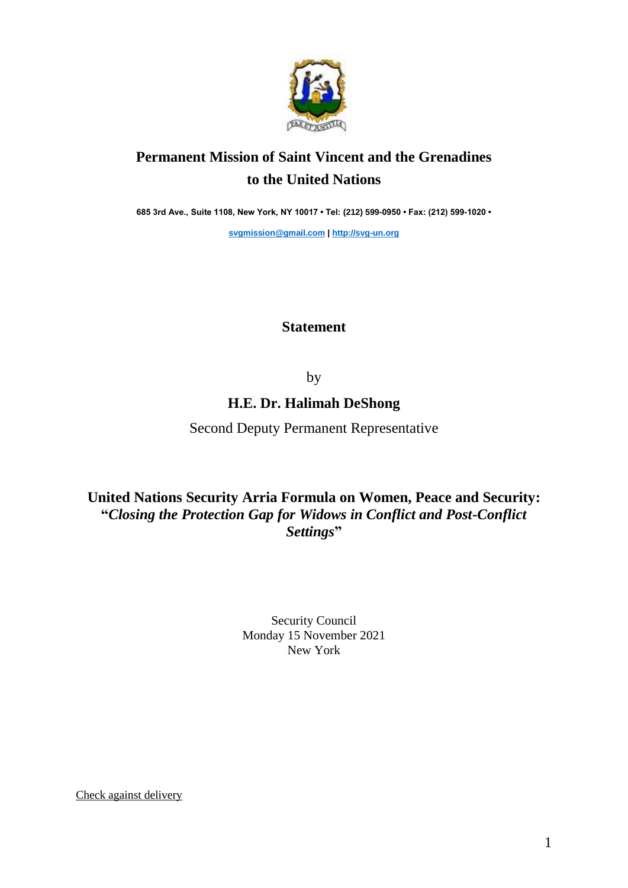

# **Permanent Mission of Saint Vincent and the Grenadines to the United Nations**

**685 3rd Ave., Suite 1108, New York, NY 10017 • Tel: (212) 599-0950 • Fax: (212) 599-1020 •** 

**[svgmission@gmail.com](mailto:svgmission@gmail.com) | [http://svg-un.org](http://svg-un.org/)**

## **Statement**

by

## **H.E. Dr. Halimah DeShong**

Second Deputy Permanent Representative

**United Nations Security Arria Formula on Women, Peace and Security: "***Closing the Protection Gap for Widows in Conflict and Post-Conflict Settings***"**

> Security Council Monday 15 November 2021 New York

Check against delivery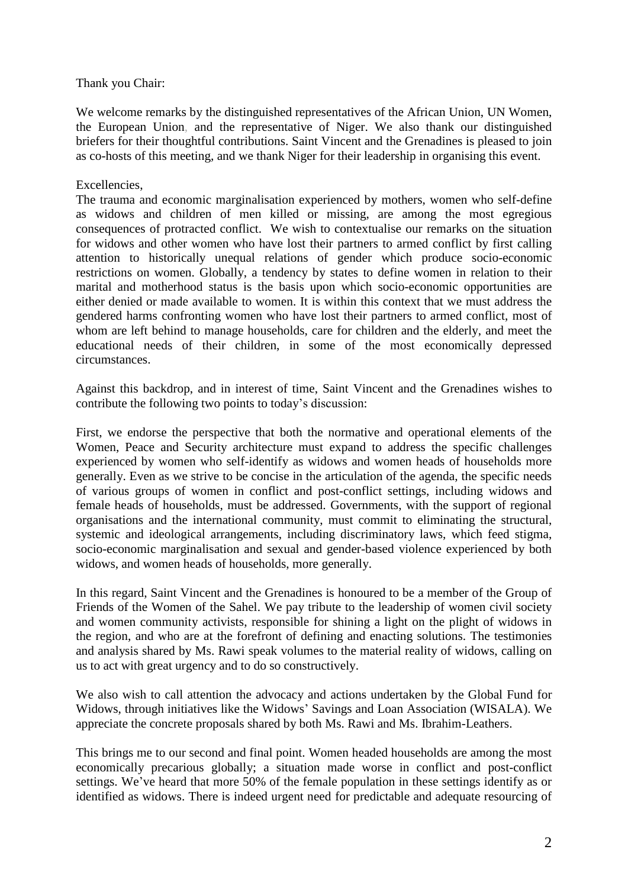#### Thank you Chair:

We welcome remarks by the distinguished representatives of the African Union, UN Women, the European Union, and the representative of Niger. We also thank our distinguished briefers for their thoughtful contributions. Saint Vincent and the Grenadines is pleased to join as co-hosts of this meeting, and we thank Niger for their leadership in organising this event.

#### Excellencies,

The trauma and economic marginalisation experienced by mothers, women who self-define as widows and children of men killed or missing, are among the most egregious consequences of protracted conflict. We wish to contextualise our remarks on the situation for widows and other women who have lost their partners to armed conflict by first calling attention to historically unequal relations of gender which produce socio-economic restrictions on women. Globally, a tendency by states to define women in relation to their marital and motherhood status is the basis upon which socio-economic opportunities are either denied or made available to women. It is within this context that we must address the gendered harms confronting women who have lost their partners to armed conflict, most of whom are left behind to manage households, care for children and the elderly, and meet the educational needs of their children, in some of the most economically depressed circumstances.

Against this backdrop, and in interest of time, Saint Vincent and the Grenadines wishes to contribute the following two points to today's discussion:

First, we endorse the perspective that both the normative and operational elements of the Women, Peace and Security architecture must expand to address the specific challenges experienced by women who self-identify as widows and women heads of households more generally. Even as we strive to be concise in the articulation of the agenda, the specific needs of various groups of women in conflict and post-conflict settings, including widows and female heads of households, must be addressed. Governments, with the support of regional organisations and the international community, must commit to eliminating the structural, systemic and ideological arrangements, including discriminatory laws, which feed stigma, socio-economic marginalisation and sexual and gender-based violence experienced by both widows, and women heads of households, more generally.

In this regard, Saint Vincent and the Grenadines is honoured to be a member of the Group of Friends of the Women of the Sahel. We pay tribute to the leadership of women civil society and women community activists, responsible for shining a light on the plight of widows in the region, and who are at the forefront of defining and enacting solutions. The testimonies and analysis shared by Ms. Rawi speak volumes to the material reality of widows, calling on us to act with great urgency and to do so constructively.

We also wish to call attention the advocacy and actions undertaken by the Global Fund for Widows, through initiatives like the Widows' Savings and Loan Association (WISALA). We appreciate the concrete proposals shared by both Ms. Rawi and Ms. Ibrahim-Leathers.

This brings me to our second and final point. Women headed households are among the most economically precarious globally; a situation made worse in conflict and post-conflict settings. We've heard that more 50% of the female population in these settings identify as or identified as widows. There is indeed urgent need for predictable and adequate resourcing of